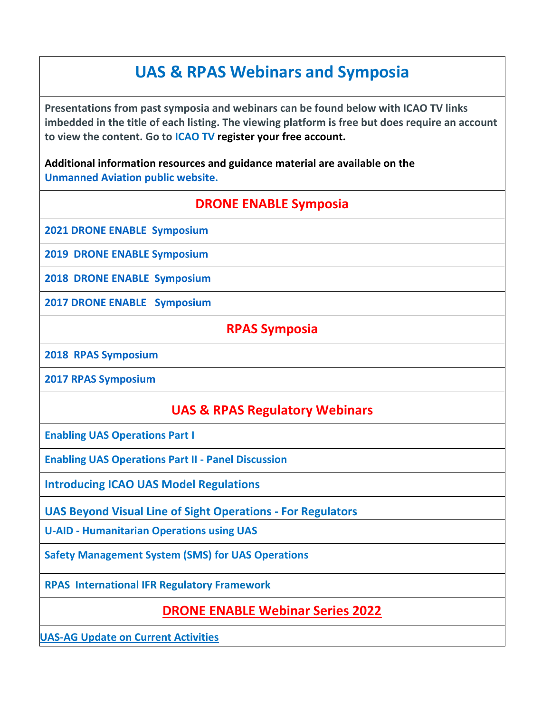# **UAS & RPAS Webinars and Symposia**

**Presentations from past symposia and webinars can be found below with ICAO TV links imbedded in the title of each listing. The viewing platform is free but does require an account to view the content. Go to [ICAO TV](https://www.icao.tv/) [re](https://www.icao.tv/)gister your free account.**

**Additional information resources and guidance material are available on th[e](https://www.icao.int/safety/UA/Pages/default.aspx) [Unmanned Aviation public](https://www.icao.int/safety/UA/Pages/default.aspx) [website.](https://www.icao.int/safety/UA/Pages/default.aspx)**

## **DRONE ENABLE Symposia**

**[2021 DRONE ENABLE](https://www.icao.tv/drone-enable/season:1) [Symposium](https://www.icao.tv/drone-enable/season:1)**

**[2019](https://www.icao.tv/drone-enable/season:2) [DRONE ENABLE](https://www.icao.tv/drone-enable/season:2) [Symposium](https://www.icao.tv/drone-enable/season:2)**

**[2018](https://www.icao.tv/drone-enable/season:3) [DRONE ENABLE](https://www.icao.tv/drone-enable/season:3) [Symposium](https://www.icao.tv/drone-enable/season:3)**

**[2017 DRONE ENABLE](https://www.icao.tv/drone-enable/season:4) [Symposium](https://www.icao.tv/drone-enable/season:4)**

#### **RPAS Symposia**

**[2018](https://www.icao.tv/remotely-piloted-aircraft-systems-symposium-rpas/season:1) [RPAS Symposium](https://www.icao.tv/remotely-piloted-aircraft-systems-symposium-rpas/season:1)**

**[2017 RPAS Symposium](https://www.icao.tv/remotely-piloted-aircraft-systems-symposium-rpas/season:2)**

## **UAS & RPAS Regulatory Webinars**

**[Enabling UAS Operations Part I](https://www.icao.tv/unmanned-aviation-uas/videos/enabling-uas-operations-part-1)**

**[Enabling UAS Operations Part II](https://www.icao.tv/unmanned-aviation-uas/videos/enabling-uas-operations-part-ii-panel-discussion) [-](https://www.icao.tv/unmanned-aviation-uas/videos/enabling-uas-operations-part-ii-panel-discussion) [Panel Discussion](https://www.icao.tv/unmanned-aviation-uas/videos/enabling-uas-operations-part-ii-panel-discussion)**

**[Introducing ICAO UAS Model Regulations](https://www.icao.tv/unmanned-aviation-uas/videos/introducing-icao-uas-model-regulations)** 

**[UAS Beyond Visual Line of Sight Operations -](https://www.icao.tv/videos/uas-beyond-visual-line-of-sight-operations) [For Regulators](https://www.icao.tv/videos/uas-beyond-visual-line-of-sight-operations)** 

**[U-AID](https://www.icao.tv/unmanned-aviation-uas/videos/u-aid-humanitarian-operations-using-uas) [-](https://www.icao.tv/unmanned-aviation-uas/videos/u-aid-humanitarian-operations-using-uas) [Humanitarian Operations using UAS](https://www.icao.tv/unmanned-aviation-uas/videos/u-aid-humanitarian-operations-using-uas)**

**[Safety Management System \(SMS\) for UAS Operations](https://www.icao.tv/unmanned-aviation-uas/videos/anb-safety)**

**[RPAS](https://www.icao.tv/unmanned-aviation-rpas/videos/rpas-intl) [International IFR Regulatory Framework](https://www.icao.tv/unmanned-aviation-rpas/videos/rpas-intl)**

## **[DRONE ENABLE Webinar Series 2022](https://www.icao.int/Meetings/DEWebinars2022/pages/drone-enable-webinar-series-2022.aspx)**

**[UAS-AG Update on Current Activities](https://www.icao.tv/videos/uas-ag-update-on-current-activities)**